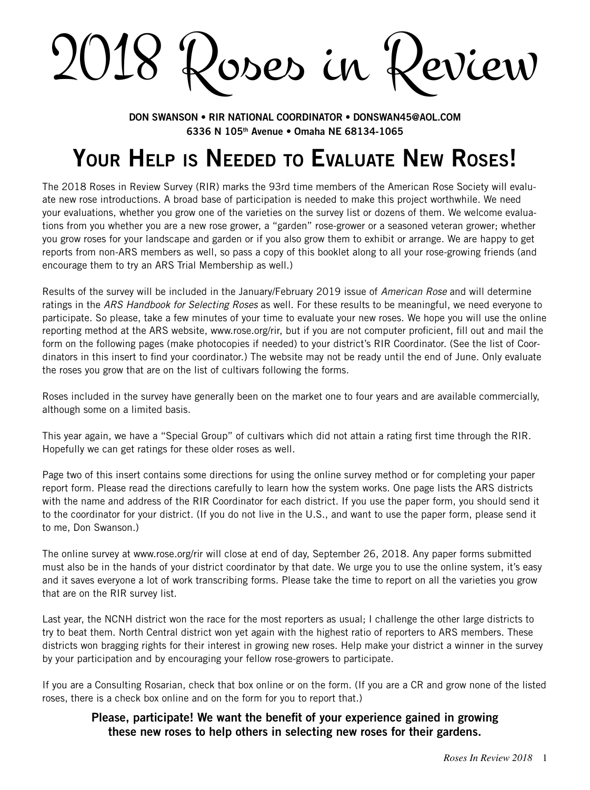2018 Roses in Review

**Don Swanson • RIR National Coordinator • donswan45@aol.com 6336 N 105th Avenue • Omaha NE 68134-1065**

# **Your Help is Needed to Evaluate New Roses!**

The 2018 Roses in Review Survey (RIR) marks the 93rd time members of the American Rose Society will evaluate new rose introductions. A broad base of participation is needed to make this project worthwhile. We need your evaluations, whether you grow one of the varieties on the survey list or dozens of them. We welcome evaluations from you whether you are a new rose grower, a "garden" rose-grower or a seasoned veteran grower; whether you grow roses for your landscape and garden or if you also grow them to exhibit or arrange. We are happy to get reports from non-ARS members as well, so pass a copy of this booklet along to all your rose-growing friends (and encourage them to try an ARS Trial Membership as well.)

Results of the survey will be included in the January/February 2019 issue of *American Rose* and will determine ratings in the *ARS Handbook for Selecting Roses* as well. For these results to be meaningful, we need everyone to participate. So please, take a few minutes of your time to evaluate your new roses. We hope you will use the online reporting method at the ARS website, www.rose.org/rir, but if you are not computer proficient, fill out and mail the form on the following pages (make photocopies if needed) to your district's RIR Coordinator. (See the list of Coordinators in this insert to find your coordinator.) The website may not be ready until the end of June. Only evaluate the roses you grow that are on the list of cultivars following the forms.

Roses included in the survey have generally been on the market one to four years and are available commercially, although some on a limited basis.

This year again, we have a "Special Group" of cultivars which did not attain a rating first time through the RIR. Hopefully we can get ratings for these older roses as well.

Page two of this insert contains some directions for using the online survey method or for completing your paper report form. Please read the directions carefully to learn how the system works. One page lists the ARS districts with the name and address of the RIR Coordinator for each district. If you use the paper form, you should send it to the coordinator for your district. (If you do not live in the U.S., and want to use the paper form, please send it to me, Don Swanson.)

The online survey at www.rose.org/rir will close at end of day, September 26, 2018. Any paper forms submitted must also be in the hands of your district coordinator by that date. We urge you to use the online system, it's easy and it saves everyone a lot of work transcribing forms. Please take the time to report on all the varieties you grow that are on the RIR survey list.

Last year, the NCNH district won the race for the most reporters as usual; I challenge the other large districts to try to beat them. North Central district won yet again with the highest ratio of reporters to ARS members. These districts won bragging rights for their interest in growing new roses. Help make your district a winner in the survey by your participation and by encouraging your fellow rose-growers to participate.

If you are a Consulting Rosarian, check that box online or on the form. (If you are a CR and grow none of the listed roses, there is a check box online and on the form for you to report that.)

### **Please, participate! We want the benefit of your experience gained in growing these new roses to help others in selecting new roses for their gardens.**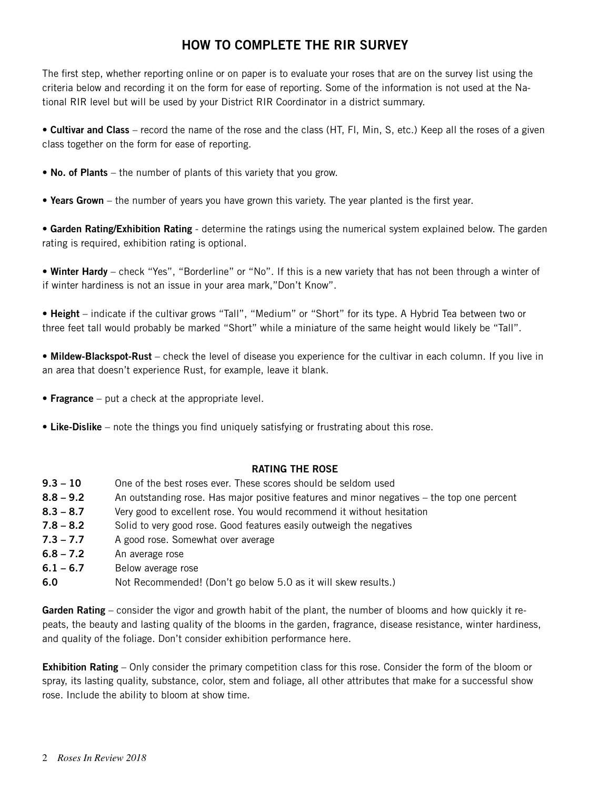# **How to Complete the RIR Survey**

The first step, whether reporting online or on paper is to evaluate your roses that are on the survey list using the criteria below and recording it on the form for ease of reporting. Some of the information is not used at the National RIR level but will be used by your District RIR Coordinator in a district summary.

• **Cultivar and Class** – record the name of the rose and the class (HT, Fl, Min, S, etc.) Keep all the roses of a given class together on the form for ease of reporting.

• **No. of Plants** – the number of plants of this variety that you grow.

• **Years Grown** – the number of years you have grown this variety. The year planted is the first year.

• **Garden Rating/Exhibition Rating** - determine the ratings using the numerical system explained below. The garden rating is required, exhibition rating is optional.

• **Winter Hardy** – check "Yes", "Borderline" or "No". If this is a new variety that has not been through a winter of if winter hardiness is not an issue in your area mark,"Don't Know".

• **Height** – indicate if the cultivar grows "Tall", "Medium" or "Short" for its type. A Hybrid Tea between two or three feet tall would probably be marked "Short" while a miniature of the same height would likely be "Tall".

• **Mildew-Blackspot-Rust** – check the level of disease you experience for the cultivar in each column. If you live in an area that doesn't experience Rust, for example, leave it blank.

- **Fragrance** put a check at the appropriate level.
- **Like-Dislike** note the things you find uniquely satisfying or frustrating about this rose.

#### **Rating the Rose**

- **9.3 10** One of the best roses ever. These scores should be seldom used
- **8.8 9.2** An outstanding rose. Has major positive features and minor negatives the top one percent
- **8.3 8.7** Very good to excellent rose. You would recommend it without hesitation
- **7.8 8.2** Solid to very good rose. Good features easily outweigh the negatives
- **7.3 7.7** A good rose. Somewhat over average
- **6.8 7.2** An average rose
- **6.1 6.7** Below average rose
- **6.0** Not Recommended! (Don't go below 5.0 as it will skew results.)

**Garden Rating** – consider the vigor and growth habit of the plant, the number of blooms and how quickly it repeats, the beauty and lasting quality of the blooms in the garden, fragrance, disease resistance, winter hardiness, and quality of the foliage. Don't consider exhibition performance here.

**Exhibition Rating** – Only consider the primary competition class for this rose. Consider the form of the bloom or spray, its lasting quality, substance, color, stem and foliage, all other attributes that make for a successful show rose. Include the ability to bloom at show time.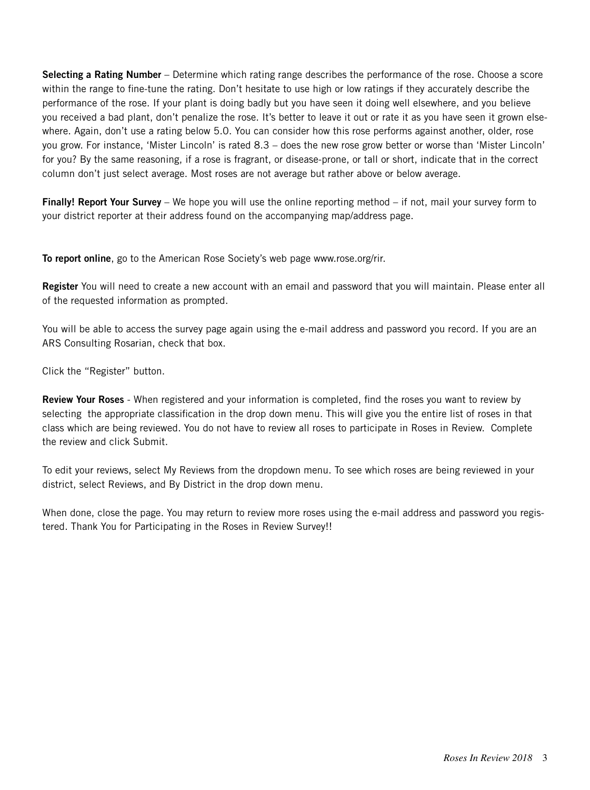**Selecting a Rating Number** – Determine which rating range describes the performance of the rose. Choose a score within the range to fine-tune the rating. Don't hesitate to use high or low ratings if they accurately describe the performance of the rose. If your plant is doing badly but you have seen it doing well elsewhere, and you believe you received a bad plant, don't penalize the rose. It's better to leave it out or rate it as you have seen it grown elsewhere. Again, don't use a rating below 5.0. You can consider how this rose performs against another, older, rose you grow. For instance, 'Mister Lincoln' is rated 8.3 – does the new rose grow better or worse than 'Mister Lincoln' for you? By the same reasoning, if a rose is fragrant, or disease-prone, or tall or short, indicate that in the correct column don't just select average. Most roses are not average but rather above or below average.

**Finally! Report Your Survey** – We hope you will use the online reporting method – if not, mail your survey form to your district reporter at their address found on the accompanying map/address page.

**To report online**, go to the American Rose Society's web page www.rose.org/rir.

**Register** You will need to create a new account with an email and password that you will maintain. Please enter all of the requested information as prompted.

You will be able to access the survey page again using the e-mail address and password you record. If you are an ARS Consulting Rosarian, check that box.

Click the "Register" button.

**Review Your Roses** - When registered and your information is completed, find the roses you want to review by selecting the appropriate classification in the drop down menu. This will give you the entire list of roses in that class which are being reviewed. You do not have to review all roses to participate in Roses in Review. Complete the review and click Submit.

To edit your reviews, select My Reviews from the dropdown menu. To see which roses are being reviewed in your district, select Reviews, and By District in the drop down menu.

When done, close the page. You may return to review more roses using the e-mail address and password you registered. Thank You for Participating in the Roses in Review Survey!!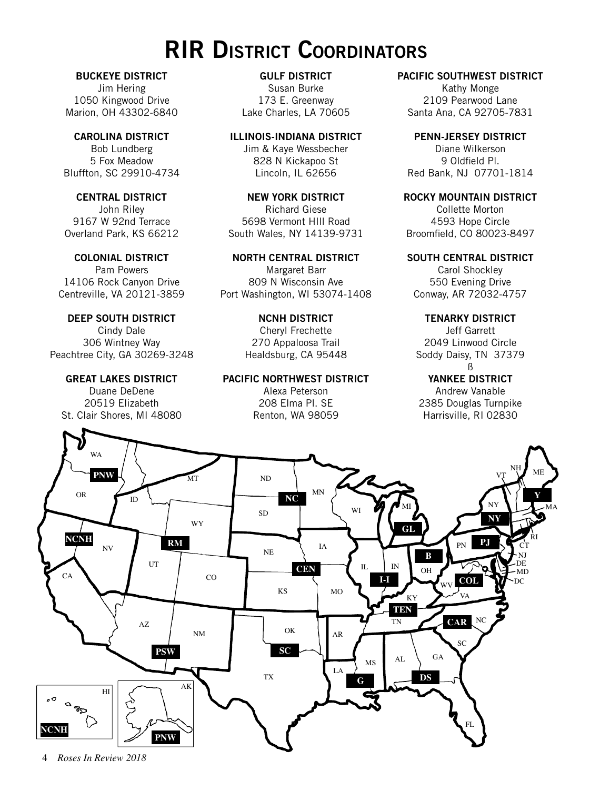# **RIR District Coordinators**

**BUCKEYE DISTRICT** Jim Hering 1050 Kingwood Drive Marion, OH 43302-6840

**CAROLINA DISTRICT** Bob Lundberg 5 Fox Meadow Bluffton, SC 29910-4734

**CENTRAL DISTRICT** John Riley 9167 W 92nd Terrace Overland Park, KS 66212

**COLONIAL DISTRICT** Pam Powers 14106 Rock Canyon Drive Centreville, VA 20121-3859

**DEEP SOUTH DISTRICT** Cindy Dale 306 Wintney Way Peachtree City, GA 30269-3248

### **GREAT LAKES DISTRICT**

Duane DeDene 20519 Elizabeth St. Clair Shores, MI 48080

**GULF DISTRICT** Susan Burke 173 E. Greenway Lake Charles, LA 70605

**ILLINOIS-INDIANA DISTRICT** Jim & Kaye Wessbecher 828 N Kickapoo St Lincoln, IL 62656

**NEW YORK DISTRICT** Richard Giese 5698 Vermont HIll Road South Wales, NY 14139-9731

**NORTH CENTRAL DISTRICT** Margaret Barr 809 N Wisconsin Ave Port Washington, WI 53074-1408

> **NCNH DISTRICT** Cheryl Frechette 270 Appaloosa Trail Healdsburg, CA 95448

**PACIFIC NORTHWEST DISTRICT**

Alexa Peterson 208 Elma Pl. SE Renton, WA 98059

### **PACIFIC SOUTHWEST DISTRICT**

Kathy Monge 2109 Pearwood Lane Santa Ana, CA 92705-7831

**PENN-JERSEY DISTRICT** Diane Wilkerson 9 Oldfield Pl. Red Bank, NJ 07701-1814

**ROCKY MOUNTAIN DISTRICT**

Collette Morton 4593 Hope Circle Broomfield, CO 80023-8497

**SOUTH CENTRAL DISTRICT**

Carol Shockley 550 Evening Drive Conway, AR 72032-4757

**TENARKY DISTRICT**

Jeff Garrett 2049 Linwood Circle Soddy Daisy, TN 37379 ß

**YANKEE DISTRICT**

Andrew Vanable 2385 Douglas Turnpike Harrisville, RI 02830

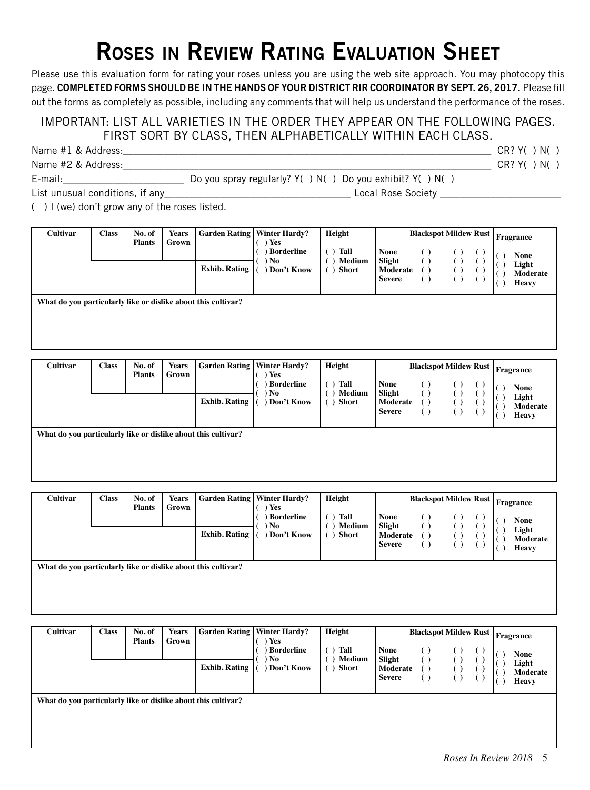# **Roses in Review Rating Evaluation Sheet**

Please use this evaluation form for rating your roses unless you are using the web site approach. You may photocopy this page. **Completed forms should be in the hands of your District RIR Coordinator by Sept. 26, 2017.** Please fill out the forms as completely as possible, including any comments that will help us understand the performance of the roses.

## IMPORTANT: LIST ALL VARIETIES IN THE ORDER THEY APPEAR ON THE FOLLOWING PAGES. FIRST SORT BY CLASS, THEN ALPHABETICALLY WITHIN EACH CLASS.

| Name #1 & Address: |                                                         | CR? Y( ) N(   |  |
|--------------------|---------------------------------------------------------|---------------|--|
| Name #2 & Address: |                                                         | $CR?$ Y( ) N( |  |
| E-mail:            | Do you spray regularly? Y() N() Do you exhibit? Y() N() |               |  |

List unusual conditions, if any\_\_\_\_\_\_\_\_\_\_\_\_\_\_\_\_\_\_\_\_\_\_\_\_\_\_\_\_\_\_\_\_\_\_\_\_\_ Local Rose Society \_\_\_\_\_\_\_\_\_\_\_\_\_\_\_\_\_\_\_\_\_\_\_\_

( ) I (we) don't grow any of the roses listed.

| Cultivar                                                      | <b>Class</b> | No. of<br><b>Plants</b> | <b>Years</b><br>Grown |                      | <b>Garden Rating   Winter Hardy?</b><br>Yes<br>Borderline | Height<br><b>Blackspot Mildew Rust Fragrance</b><br>Tall<br><b>None</b><br>Medium |                                     |  |  |  | <b>None</b>                |
|---------------------------------------------------------------|--------------|-------------------------|-----------------------|----------------------|-----------------------------------------------------------|-----------------------------------------------------------------------------------|-------------------------------------|--|--|--|----------------------------|
|                                                               |              |                         |                       | <b>Exhib. Rating</b> | ) No<br>Don't Know                                        | <b>Short</b>                                                                      | Slight<br>Moderate<br><b>Severe</b> |  |  |  | Light<br>Moderate<br>Heavy |
| What do you particularly like or dislike about this cultivar? |              |                         |                       |                      |                                                           |                                                                                   |                                     |  |  |  |                            |

| <b>Cultivar</b>                                               | Class | No. of<br><b>Plants</b> | <b>Years</b><br>Grown | <b>Exhib. Rating</b> | <b>Garden Rating   Winter Hardy?</b><br>Yes<br><b>Borderline</b><br>No<br>Don't Know | Height<br>Tall<br>Medium<br><b>Short</b> | <b>None</b><br>Slight<br>Moderate<br><b>Severe</b> |  |  |  | <b>Blackspot Mildew Rust Fragrance</b><br><b>None</b><br>Light<br>Moderate<br><b>Heavy</b> |  |
|---------------------------------------------------------------|-------|-------------------------|-----------------------|----------------------|--------------------------------------------------------------------------------------|------------------------------------------|----------------------------------------------------|--|--|--|--------------------------------------------------------------------------------------------|--|
| What do you particularly like or dislike about this cultivar? |       |                         |                       |                      |                                                                                      |                                          |                                                    |  |  |  |                                                                                            |  |

**What do you particularly like or dislike about this cultivar?**

| <b>Cultivar</b>                                               | <b>Class</b> | No. of<br><b>Plants</b> | <b>Years</b><br>Grown | <b>Exhib. Rating</b> | <b>Garden Rating   Winter Hardy?</b><br>) Yes<br><b>Borderline</b><br>) No<br>Don't Know | Height<br>Tall<br>Medium<br><b>Short</b> | <b>None</b><br>Slight<br>Moderate<br><b>Severe</b> | <b>Blackspot Mildew Rust</b> |  |  |  | Fragrance<br><b>None</b><br>Light<br>Moderate<br><b>Heavy</b> |
|---------------------------------------------------------------|--------------|-------------------------|-----------------------|----------------------|------------------------------------------------------------------------------------------|------------------------------------------|----------------------------------------------------|------------------------------|--|--|--|---------------------------------------------------------------|
| What do you particularly like or dislike about this cultivar? |              |                         |                       |                      |                                                                                          |                                          |                                                    |                              |  |  |  |                                                               |

| <b>Cultivar</b>                                               | <b>Class</b> | No. of<br><b>Plants</b> | <b>Years</b><br>Grown | <b>Exhib. Rating</b> | <b>Garden Rating   Winter Hardy?</b><br>) Yes<br><b>Borderline</b><br>) No<br>Don't Know | Height<br>Tall<br>( )<br>Medium<br>(<br>Short<br>$\left( \quad \right)$ | <b>None</b><br>Slight<br>Moderate<br><b>Severe</b> | <b>Blackspot Mildew Rust</b><br>$\left( \quad \right)$ | $\left( \quad \right)$ | Fragrance<br><b>None</b><br>Light<br>Moderate<br><b>Heavy</b> |
|---------------------------------------------------------------|--------------|-------------------------|-----------------------|----------------------|------------------------------------------------------------------------------------------|-------------------------------------------------------------------------|----------------------------------------------------|--------------------------------------------------------|------------------------|---------------------------------------------------------------|
| What do you particularly like or dislike about this cultivar? |              |                         |                       |                      |                                                                                          |                                                                         |                                                    |                                                        |                        |                                                               |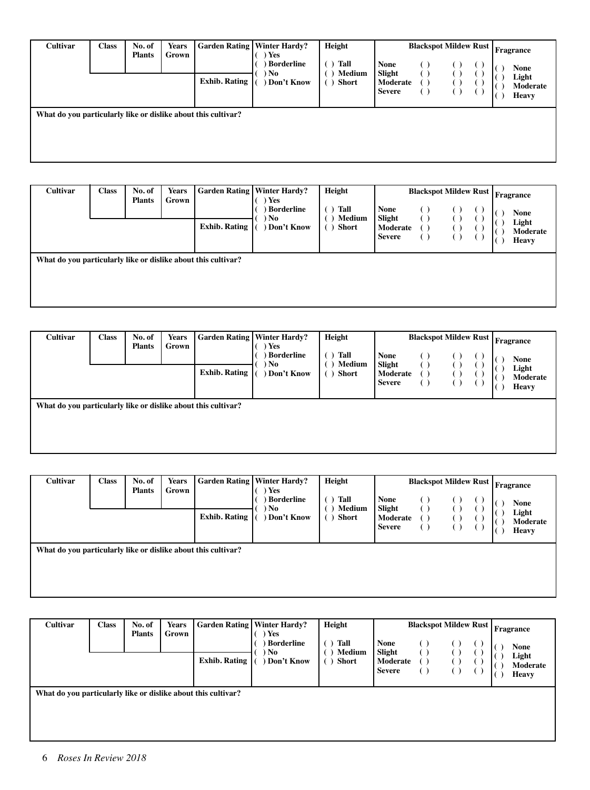| <b>Cultivar</b>                                               | <b>Class</b> | No. of<br><b>Plants</b> | <b>Years</b><br>Grown |                      | <b>Garden Rating   Winter Hardy?</b><br>Yes<br><b>Borderline</b> | Height<br>Tall  | <b>Blackspot Mildew Rust</b><br><b>None</b><br>$\left( \quad \right)$<br>(  | Fragrance                                 |
|---------------------------------------------------------------|--------------|-------------------------|-----------------------|----------------------|------------------------------------------------------------------|-----------------|-----------------------------------------------------------------------------|-------------------------------------------|
|                                                               |              |                         |                       | <b>Exhib. Rating</b> | ) No<br>Don't Know                                               | Medium<br>Short | Slight<br>Moderate<br>$\left( \right)$<br><b>Severe</b><br>$\left( \right)$ | None<br>Light<br>Moderate<br><b>Heavy</b> |
| What do you particularly like or dislike about this cultivar? |              |                         |                       |                      |                                                                  |                 |                                                                             |                                           |

| <b>Cultivar</b>                                               | <b>Class</b> | No. of<br><b>Plants</b> | <b>Years</b><br>Grown | <b>Exhib. Rating</b> | <b>Garden Rating   Winter Hardy?</b><br>Yes<br>Borderline<br>) No<br>Don't Know | Height<br>Tall<br>Medium<br><b>Short</b> | <b>Blackspot Mildew Rust   Fragrance</b><br><b>None</b><br>$\overline{\phantom{a}}$<br>Slight<br>Moderate<br><b>Severe</b> | <b>None</b><br>Light<br>Moderate<br><b>Heavy</b> |
|---------------------------------------------------------------|--------------|-------------------------|-----------------------|----------------------|---------------------------------------------------------------------------------|------------------------------------------|----------------------------------------------------------------------------------------------------------------------------|--------------------------------------------------|
| What do you particularly like or dislike about this cultivar? |              |                         |                       |                      |                                                                                 |                                          |                                                                                                                            |                                                  |

| <b>Cultivar</b>                                               | <b>Class</b> | No. of<br><b>Plants</b> | <b>Years</b><br>Grown | <b>Exhib. Rating</b> | <b>Garden Rating   Winter Hardy?</b><br>Yes<br><b>Borderline</b><br>) No<br>Don't Know | Height<br>Tall<br>Medium<br><b>Short</b> | <b>None</b><br>Slight<br>Moderate<br><b>Severe</b> | <b>Blackspot Mildew Rust</b><br>$\blacksquare$ |  | <b>Fragrance</b><br>None<br>Light<br>Moderate<br><b>Heavy</b> |
|---------------------------------------------------------------|--------------|-------------------------|-----------------------|----------------------|----------------------------------------------------------------------------------------|------------------------------------------|----------------------------------------------------|------------------------------------------------|--|---------------------------------------------------------------|
| What do you particularly like or dislike about this cultivar? |              |                         |                       |                      |                                                                                        |                                          |                                                    |                                                |  |                                                               |

| <b>Cultivar</b>                                               | <b>Class</b> | No. of<br><b>Plants</b> | <b>Years</b><br>Grown | <b>Exhib. Rating</b> | <b>Garden Rating   Winter Hardy?</b><br>) Yes<br><b>Borderline</b><br>) No<br>Don't Know | Height<br>Tall<br>$\left( \quad \right)$<br>Medium<br><b>Short</b><br>( ) | <b>Blackspot Mildew Rust</b><br><b>None</b><br>()<br>Slight<br>Moderate<br>( )<br><b>Severe</b><br>$\left( \right)$ | Fragrance<br>None<br>Light<br>Moderate<br><b>Heavy</b> |
|---------------------------------------------------------------|--------------|-------------------------|-----------------------|----------------------|------------------------------------------------------------------------------------------|---------------------------------------------------------------------------|---------------------------------------------------------------------------------------------------------------------|--------------------------------------------------------|
| What do you particularly like or dislike about this cultivar? |              |                         |                       |                      |                                                                                          |                                                                           |                                                                                                                     |                                                        |

| <b>Cultivar</b>                                               | <b>Class</b> | No. of<br><b>Plants</b> | <b>Years</b><br>Grown |                      | <b>Garden Rating   Winter Hardy?</b><br>) Yes | Height                                       | <b>Blackspot Mildew Rust</b>                                                           | Fragrance                                 |  |
|---------------------------------------------------------------|--------------|-------------------------|-----------------------|----------------------|-----------------------------------------------|----------------------------------------------|----------------------------------------------------------------------------------------|-------------------------------------------|--|
|                                                               |              |                         |                       | <b>Exhib. Rating</b> | Borderline<br>) No<br>Don't Know              | Tall<br>( )<br>Medium<br>( )<br><b>Short</b> | <b>None</b><br>Slight<br>Moderate<br>$\left( \quad \right)$<br><b>Severe</b><br>$\Box$ | None<br>Light<br>Moderate<br><b>Heavy</b> |  |
| What do you particularly like or dislike about this cultivar? |              |                         |                       |                      |                                               |                                              |                                                                                        |                                           |  |
|                                                               |              |                         |                       |                      |                                               |                                              |                                                                                        |                                           |  |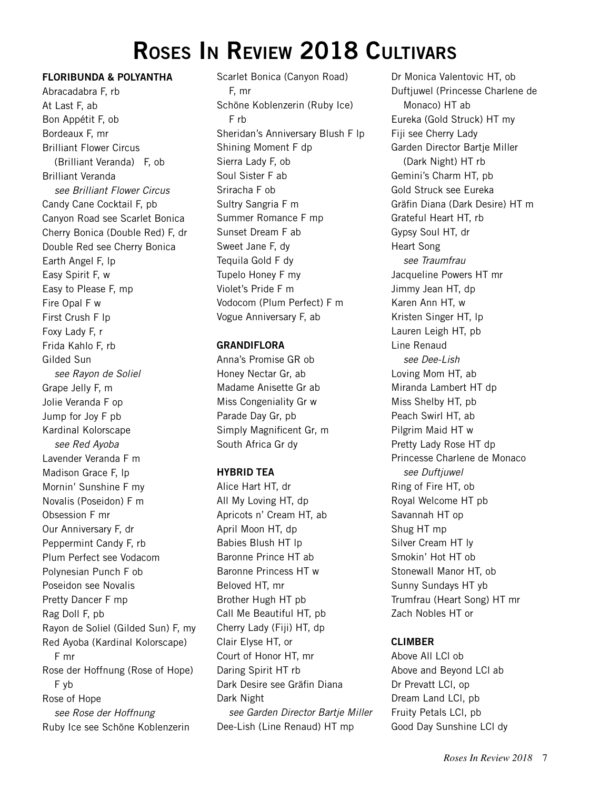# **Roses In Review 2018 Cultivars**

### **Floribunda & Polyantha**

Abracadabra F, rb At Last F, ab Bon Appétit F, ob Bordeaux F, mr Brilliant Flower Circus (Brilliant Veranda) F, ob Brilliant Veranda *see Brilliant Flower Circus* Candy Cane Cocktail F, pb Canyon Road see Scarlet Bonica Cherry Bonica (Double Red) F, dr Double Red see Cherry Bonica Earth Angel F, lp Easy Spirit F, w Easy to Please F, mp Fire Opal F w First Crush F lp Foxy Lady F, r Frida Kahlo F, rb Gilded Sun *see Rayon de Soliel* Grape Jelly F, m Jolie Veranda F op Jump for Joy F pb Kardinal Kolorscape *see Red Ayoba* Lavender Veranda F m Madison Grace F, lp Mornin' Sunshine F my Novalis (Poseidon) F m Obsession F mr Our Anniversary F, dr Peppermint Candy F, rb Plum Perfect see Vodacom Polynesian Punch F ob Poseidon see Novalis Pretty Dancer F mp Rag Doll F, pb Rayon de Soliel (Gilded Sun) F, my Red Ayoba (Kardinal Kolorscape) F mr Rose der Hoffnung (Rose of Hope) F yb Rose of Hope *see Rose der Hoffnung* Ruby Ice see Schöne Koblenzerin

Scarlet Bonica (Canyon Road) F, mr Schöne Koblenzerin (Ruby Ice) F rb Sheridan's Anniversary Blush F lp Shining Moment F dp Sierra Lady F, ob Soul Sister F ab Sriracha F ob Sultry Sangria F m Summer Romance F mp Sunset Dream F ab Sweet Jane F, dy Tequila Gold F dy Tupelo Honey F my Violet's Pride F m Vodocom (Plum Perfect) F m Vogue Anniversary F, ab

#### **Grandiflora**

Anna's Promise GR ob Honey Nectar Gr, ab Madame Anisette Gr ab Miss Congeniality Gr w Parade Day Gr, pb Simply Magnificent Gr, m South Africa Gr dy

### **Hybrid Tea**

Alice Hart HT, dr All My Loving HT, dp Apricots n' Cream HT, ab April Moon HT, dp Babies Blush HT lp Baronne Prince HT ab Baronne Princess HT w Beloved HT, mr Brother Hugh HT pb Call Me Beautiful HT, pb Cherry Lady (Fiji) HT, dp Clair Elyse HT, or Court of Honor HT, mr Daring Spirit HT rb Dark Desire see Gräfin Diana Dark Night *see Garden Director Bartje Miller* Dee-Lish (Line Renaud) HT mp

Dr Monica Valentovic HT, ob Duftjuwel (Princesse Charlene de Monaco) HT ab Eureka (Gold Struck) HT my Fiji see Cherry Lady Garden Director Bartje Miller (Dark Night) HT rb Gemini's Charm HT, pb Gold Struck see Eureka Gräfin Diana (Dark Desire) HT m Grateful Heart HT, rb Gypsy Soul HT, dr Heart Song *see Traumfrau* Jacqueline Powers HT mr Jimmy Jean HT, dp Karen Ann HT, w Kristen Singer HT, lp Lauren Leigh HT, pb Line Renaud *see Dee-Lish* Loving Mom HT, ab Miranda Lambert HT dp Miss Shelby HT, pb Peach Swirl HT, ab Pilgrim Maid HT w Pretty Lady Rose HT dp Princesse Charlene de Monaco *see Duftjuwel* Ring of Fire HT, ob Royal Welcome HT pb Savannah HT op Shug HT mp Silver Cream HT ly Smokin' Hot HT ob Stonewall Manor HT, ob Sunny Sundays HT yb Trumfrau (Heart Song) HT mr Zach Nobles HT or

### **Climber**

Above All LCl ob Above and Beyond LCl ab Dr Prevatt LCl, op Dream Land LCl, pb Fruity Petals LCl, pb Good Day Sunshine LCl dy